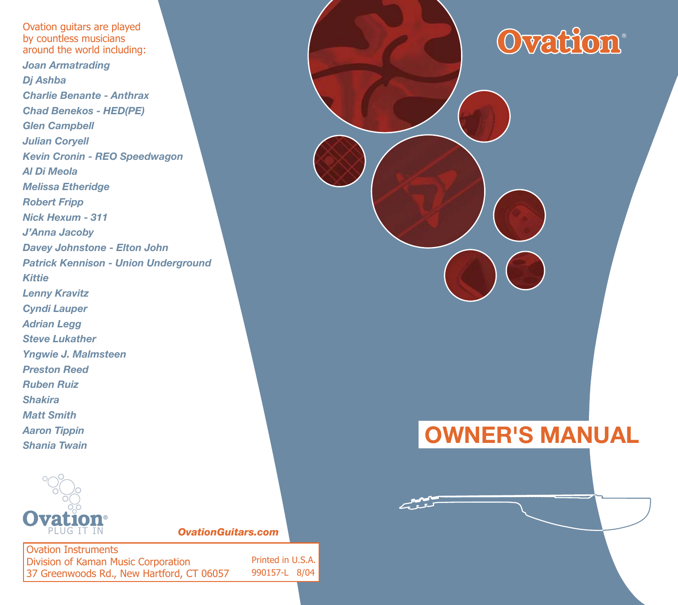Ovation guitars are played by countless musicians around the world including: *Joan Armatrading Dj Ashba Charlie Benante - AnthraxChad Benekos - HED(PE) Glen Campbell Julian Coryell Kevin Cronin - REO Speedwagon Al Di MeolaMelissa Etheridge Robert Fripp Nick Hexum - 311J'Anna Jacoby Davey Johnstone - Elton John* **Patrick Kennison - Union Underground** *KittieLenny Kravitz Cyndi Lauper Adrian Legg Steve LukatherYngwie J. Malmsteen Preston ReedRuben RuizShakiraMatt SmithAaron Tippin Shania Twain*



*OvationGuitars.com* 

Ovation InstrumentsDivision of Kaman Music Corporation 37 Greenwoods Rd., New Hartford, CT 06057 Printed in U.S.A.990157-L 8/04 Ovation<sup>®</sup>

# **OWNER'S MANUAL**

بمسمعهم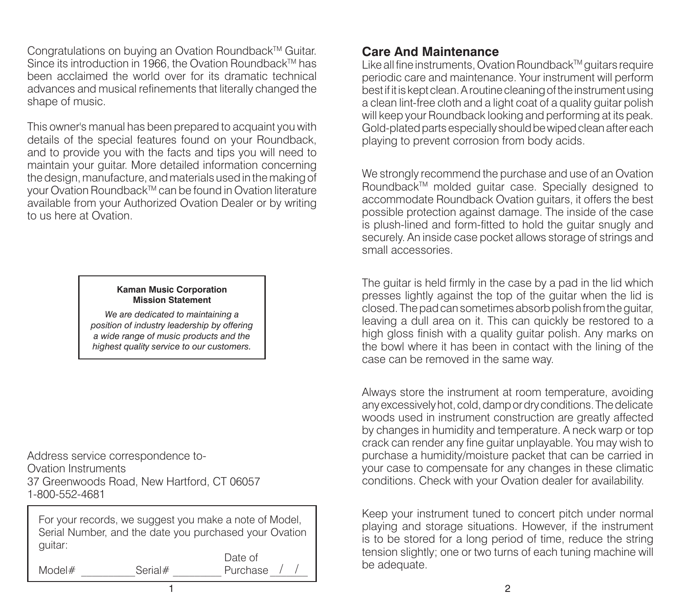Congratulations on buying an Ovation Roundback™ Guitar. Since its introduction in 1966, the Ovation Roundback™ has been acclaimed the world over for its dramatic technical advances and musical refinements that literally changed the shape of music.

This owner's manual has been prepared to acquaint you with details of the special features found on your Roundback, and to provide you with the facts and tips you will need to maintain your guitar. More detailed information concerning the design, manufacture, and materials used in the making of your Ovation Roundback™ can be found in Ovation literature available from your Authorized Ovation Dealer or by writing to us here at Ovation.

#### **Kaman Music Corporation Mission Statement**

*We are dedicated to main tain ing a position of industry leadership by offering a wide range of music prod ucts and the highest quality service to our customers.*

Address service correspondence to-Ovation Instruments37 Greenwoods Road, New Hartford, CT 06057 1-800-552-4681

For your records, we suggest you make a note of Model, Serial Number, and the date you purchased your Ovation guitar:

1

Model#

Date of Serial# Purchase

/ /

#### **Care And Maintenance**

Like all fine instruments, Ovation Roundback™ guitars require periodic care and maintenance. Your instrument will perform best if it is kept clean. A routine cleaning of the instrument using a clean lint-free cloth and a light coat of a quality guitar polish will keep your Roundback looking and performing at its peak. Gold-plated parts especially should be wiped clean after each playing to prevent corrosion from body acids.

We strongly recommend the purchase and use of an Ovation Roundback™ molded quitar case. Specially designed to accommodate Roundback Ovation guitars, it offers the best possible protection against damage. The inside of the case is plush-lined and form-fitted to hold the quitar snugly and securely. An inside case pocket allows storage of strings and small accessories.

The guitar is held firmly in the case by a pad in the lid which presses lightly against the top of the guitar when the lid is closed. The pad can sometimes absorb polish from the guitar, leaving a dull area on it. This can quickly be restored to a high gloss finish with a quality guitar polish. Any marks on the bowl where it has been in contact with the lining of the case can be removed in the same way.

Always store the instrument at room temperature, avoiding any excessively hot, cold, damp or dry conditions. The delicate woods used in instrument construction are greatly affected by changes in humidity and temperature. A neck warp or top crack can render any fine guitar unplayable. You may wish to purchase a humidity/moisture packet that can be carried in your case to compensate for any changes in these climatic conditions. Check with your Ovation dealer for availability.

Keep your instrument tuned to concert pitch under normal playing and storage situations. However, if the instrument is to be stored for a long period of time, reduce the string tension slightly; one or two turns of each tuning machine will be adequate.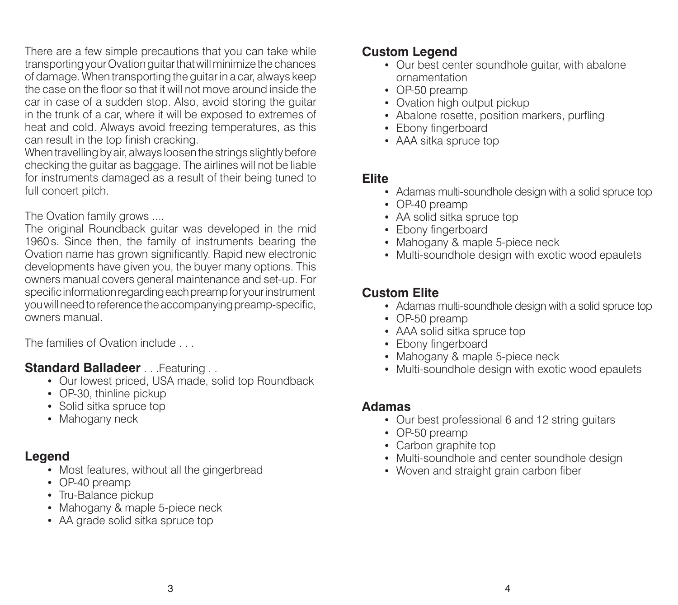There are a few simple precautions that you can take while transporting your Ovation guitar that will minimize the chances of damage. When transporting the guitar in a car, always keep the case on the floor so that it will not move around inside the car in case of a sudden stop. Also, avoid storing the guitar in the trunk of a car, where it will be exposed to extremes of heat and cold. Always avoid freezing temperatures, as this can result in the top finish cracking.

When travelling by air, always loosen the strings slightly before checking the guitar as baggage. The airlines will not be liable for instruments damaged as a result of their being tuned to full concert pitch.

#### The Ovation family grows ....

The original Roundback guitar was developed in the mid 1960's. Since then, the family of instruments bearing the Ovation name has grown significantly. Rapid new electronic developments have given you, the buyer many options. This owners manual covers general maintenance and set-up. For specific information regarding each preamp for your instrument you will need to reference the accompanying preamp-specific, owners manual.

The families of Ovation include . . .

#### **Standard Balladeer** . . .Featuring . .

- Our lowest priced, USA made, solid top Roundback
- OP-30, thinline pickup
- Solid sitka spruce top
- Mahogany neck

#### **Legend**

- Most features, without all the gingerbread
- OP-40 preamp
- Tru-Balance pickup
- Mahogany & maple 5-piece neck
- AA grade solid sitka spruce top

### **Custom Legend**

- Our best center soundhole guitar, with abalone ornamentation
- OP-50 preamp
- Ovation high output pickup
- Abalone rosette, position markers, purfling
- Ebony fingerboard
- AAA sitka spruce top

#### **Elite**

- Adamas multi-soundhole design with a solid spruce top
- OP-40 preamp
- AA solid sitka spruce top
- Ebony fingerboard
- Mahogany & maple 5-piece neck
- Multi-soundhole design with exotic wood epaulets

### **Custom Elite**

- Adamas multi-soundhole design with a solid spruce top
- OP-50 preamp
- AAA solid sitka spruce top
- Ebony fingerboard
- Mahogany & maple 5-piece neck
- Multi-soundhole design with exotic wood epaulets

#### **Adamas**

- Our best professional 6 and 12 string guitars
- OP-50 preamp
- Carbon graphite top
- Multi-soundhole and center soundhole design
- Woven and straight grain carbon fiber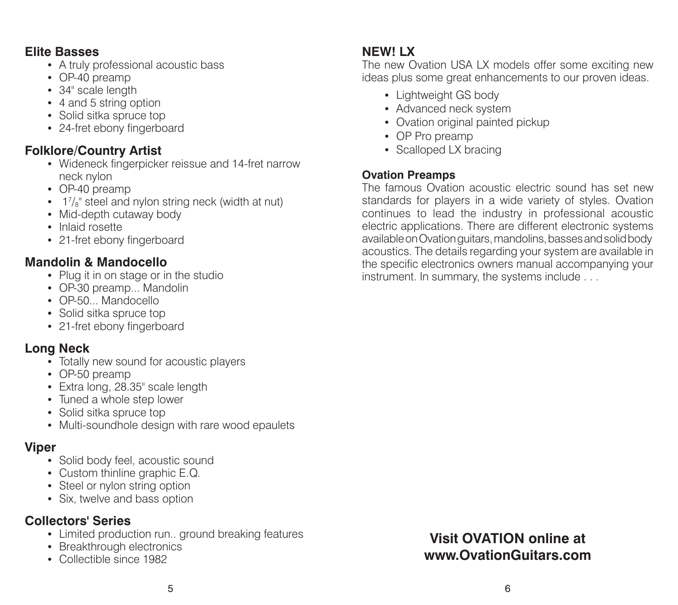#### **Elite Basses**

- A truly professional acoustic bass
- OP-40 preamp
- 34" scale length
- 4 and 5 string option
- Solid sitka spruce top
- 24-fret ebony fingerboard

### **Folklore/Country Artist**

- Wideneck fingerpicker reissue and 14-fret narrow neck nylon
- OP-40 preamp
- 1<sup>7</sup>/<sub>8</sub>" steel and nylon string neck (width at nut)
- Mid-depth cutaway body
- Inlaid rosette
- 21-fret ebony fingerboard

### **Mandolin & Mandocello**

- Plug it in on stage or in the studio
- OP-30 preamp... Mandolin
- OP-50... Mandocello
- Solid sitka spruce top
- 21-fret ebony fingerboard

#### **Long Neck**

- Totally new sound for acoustic players
- OP-50 preamp
- Extra long, 28.35" scale length
- Tuned a whole step lower
- Solid sitka spruce top
- Multi-soundhole design with rare wood epaulets

#### **Viper**

- Solid body feel, acoustic sound
- Custom thinline graphic E.Q.
- Steel or nylon string option
- Six, twelve and bass option

# **Collectors' Series**

- Limited production run.. ground breaking features
- Breakthrough electronics
- Collectible since 1982

# **NEW! LX**

 The new Ovation USA LX models offer some exciting new ideas plus some great enhancements to our proven ideas.

- Lightweight GS body
- Advanced neck system
- Ovation original painted pickup
- OP Pro preamp
- Scalloped LX bracing

#### **Ovation Preamps**

The famous Ovation acoustic electric sound has set new standards for players in a wide variety of styles. Ovation continues to lead the industry in professional acoustic electric applications. There are different electronic systems avail able on Ovation guitars, mandolins, basses and solid body acoustics. The details regarding your system are available in the specific electronics owners manual accompanying your instrument. In summary, the systems include . . .

# **Visit OVATION online atwww.OvationGuitars.com**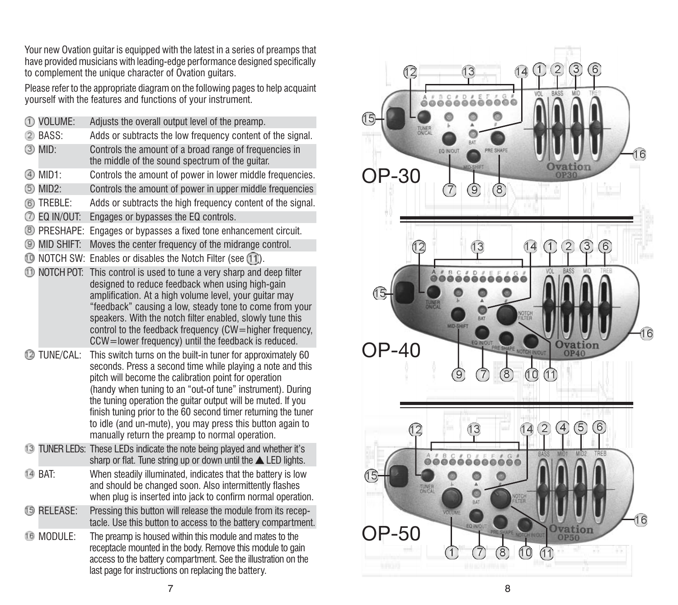Your new Ovation guitar is equipped with the latest in a series of preamps that have provided musicians with leading-edge performance designed specifically to complement the unique character of Ovation guitars.

Please refer to the appropriate diagram on the following pages to help acquaint your self with the features and functions of your instrument.

|    | ① VOLUME:                | Adjusts the overall output level of the preamp.                                                                                                                                                                                                                                                                                                                                                                                                                                                     |
|----|--------------------------|-----------------------------------------------------------------------------------------------------------------------------------------------------------------------------------------------------------------------------------------------------------------------------------------------------------------------------------------------------------------------------------------------------------------------------------------------------------------------------------------------------|
|    | (2) BASS:                | Adds or subtracts the low frequency content of the signal.                                                                                                                                                                                                                                                                                                                                                                                                                                          |
|    | <b>3</b> MID:            | Controls the amount of a broad range of frequencies in<br>the middle of the sound spectrum of the guitar.                                                                                                                                                                                                                                                                                                                                                                                           |
|    | 4 MID1:                  | Controls the amount of power in lower middle frequencies.                                                                                                                                                                                                                                                                                                                                                                                                                                           |
| 6  | MID2:                    | Controls the amount of power in upper middle frequencies                                                                                                                                                                                                                                                                                                                                                                                                                                            |
|    | 6 TREBLE:                | Adds or subtracts the high frequency content of the signal.                                                                                                                                                                                                                                                                                                                                                                                                                                         |
|    | <b>O EQ IN/OUT:</b>      | Engages or bypasses the EQ controls.                                                                                                                                                                                                                                                                                                                                                                                                                                                                |
|    | <sup>(8)</sup> PRESHAPE: | Engages or bypasses a fixed tone enhancement circuit.                                                                                                                                                                                                                                                                                                                                                                                                                                               |
|    | <b>9 MID SHIFT:</b>      | Moves the center frequency of the midrange control.                                                                                                                                                                                                                                                                                                                                                                                                                                                 |
|    |                          | 11). O NOTCH SW: Enables or disables the Notch Filter (see (11).                                                                                                                                                                                                                                                                                                                                                                                                                                    |
|    | 11 NOTCH POT:            | This control is used to tune a very sharp and deep filter<br>designed to reduce feedback when using high-gain<br>amplification. At a high volume level, your guitar may<br>"feedback" causing a low, steady tone to come from your<br>speakers. With the notch filter enabled, slowly tune this<br>control to the feedback frequency (CW=higher frequency,<br>CCW=lower frequency) until the feedback is reduced.                                                                                   |
|    | 12 TUNE/CAL:             | This switch turns on the built-in tuner for approximately 60<br>seconds. Press a second time while playing a note and this<br>pitch will become the calibration point for operation<br>(handy when tuning to an "out-of tune" instrument). During<br>the tuning operation the quitar output will be muted. If you<br>finish tuning prior to the 60 second timer returning the tuner<br>to idle (and un-mute), you may press this button again to<br>manually return the preamp to normal operation. |
| 13 |                          | TUNER LEDs: These LEDs indicate the note being played and whether it's<br>sharp or flat. Tune string up or down until the $\triangle$ LED lights.                                                                                                                                                                                                                                                                                                                                                   |
|    | 14 BAT:                  | When steadily illuminated, indicates that the battery is low<br>and should be changed soon. Also intermittently flashes<br>when plug is inserted into jack to confirm normal operation.                                                                                                                                                                                                                                                                                                             |
|    | <b>15 RELEASE:</b>       | Pressing this button will release the module from its recep-<br>tacle. Use this button to access to the battery compartment.                                                                                                                                                                                                                                                                                                                                                                        |
|    | 16 MODULE:               | The preamp is housed within this module and mates to the<br>receptacle mounted in the body. Remove this module to gain<br>access to the battery compartment. See the illustration on the                                                                                                                                                                                                                                                                                                            |



last page for instructions on replacing the battery.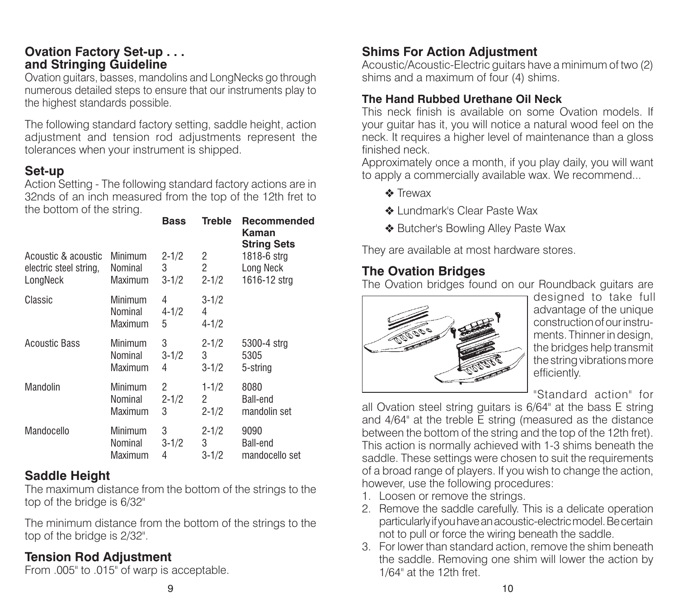#### **Ovation Factory Set-up . . . and Stringing Guideline**

Ovation guitars, basses, mandolins and LongNecks go through numerous detailed steps to ensure that our instruments play to the highest standards possible.

The following standard factory setting, saddle height, action adjustment and tension rod adjustments represent the tolerances when your instrument is shipped.

#### **Set-up**

Action Setting - The following standard factory actions are in 32nds of an inch measured from the top of the 12th fret to the bottom of the string.

|                        |                               | <b>Bass</b>         | <b>Treble</b>               | Recommended<br>Kaman<br><b>String Sets</b> |
|------------------------|-------------------------------|---------------------|-----------------------------|--------------------------------------------|
| Acoustic & acoustic    | Minimum                       | $2 - 1/2$           | 2                           | 1818-6 strg                                |
| electric steel string, | Nominal                       | 3                   | 2                           | Long Neck                                  |
| LongNeck               | Maximum                       | $3 - 1/2$           | $2 - 1/2$                   | 1616-12 strg                               |
| Classic                | Minimum<br>Nominal<br>Maximum | 4<br>$4 - 1/2$<br>5 | $3 - 1/2$<br>4<br>$4 - 1/2$ |                                            |
| <b>Acoustic Bass</b>   | Minimum                       | 3                   | $2 - 1/2$                   | 5300-4 strg                                |
|                        | Nominal                       | $3 - 1/2$           | 3                           | 5305                                       |
|                        | Maximum                       | 4                   | $3 - 1/2$                   | 5-string                                   |
| Mandolin               | Minimum                       | 2                   | $1 - 1/2$                   | 8080                                       |
|                        | Nominal                       | $2 - 1/2$           | 2                           | Ball-end                                   |
|                        | Maximum                       | 3                   | $2 - 1/2$                   | mandolin set                               |
| Mandocello             | Minimum                       | 3                   | $2 - 1/2$                   | 9090                                       |
|                        | Nominal                       | $3 - 1/2$           | 3                           | Ball-end                                   |
|                        | Maximum                       | 4                   | $3 - 1/2$                   | mandocello set                             |

### **Saddle Height**

The maximum distance from the bottom of the strings to the top of the bridge is 6/32"

The minimum distance from the bottom of the strings to the top of the bridge is 2/32".

# **Tension Rod Adjustment**

From .005" to .015" of warp is acceptable.

### **Shims For Action Adjustment**

Acoustic/Acoustic-Electric guitars have a minimum of two (2) shims and a maximum of four (4) shims.

#### **The Hand Rubbed Urethane Oil Neck**

This neck finish is available on some Ovation models. If your guitar has it, you will notice a natural wood feel on the neck. It requires a higher level of maintenance than a gloss finished neck.

Approximately once a month, if you play daily, you will want to apply a commercially available wax. We recommend...

- ❖ Trewax
- ❖ Lundmark's Clear Paste Wax
- ◆ Butcher's Bowling Alley Paste Wax

They are available at most hardware stores.

### **The Ovation Bridges**

The Ovation bridges found on our Roundback guitars are



designed to take full advantage of the unique construction of our instruments. Thinner in design, the bridges help transmit the string vibrations more efficiently.

"Standard action" for

all Ovation steel string guitars is 6/64" at the bass E string and  $4/64$ " at the treble E string (measured as the distance between the bottom of the string and the top of the 12th fret). This action is normally achieved with 1-3 shims beneath the saddle. These settings were chosen to suit the requirements of a broad range of players. If you wish to change the action, however, use the following procedures:

- 1. Loosen or remove the strings.
- 2. Remove the saddle carefully. This is a delicate operation particularly if you have an acoustic-electric model. Be certain not to pull or force the wiring beneath the saddle.
- 3. For lower than standard action, remove the shim beneath the saddle. Removing one shim will lower the action by 1/64" at the 12th fret.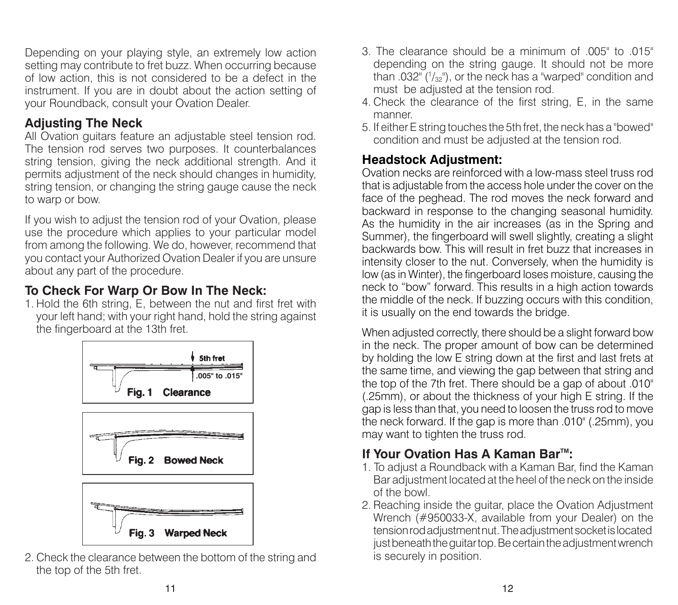Depending on your playing style, an extremely low action setting may contribute to fret buzz. When occurring because of low action, this is not considered to be a defect in the instrument. If you are in doubt about the action setting of your Roundback, consult your Ovation Dealer.

### **Adjusting The Neck**

All Ovation guitars feature an adjustable steel tension rod. The tension rod serves two purposes. It counterbalances string tension, giving the neck additional strength. And it permits adjustment of the neck should changes in humidity, string tension, or changing the string gauge cause the neck to warp or bow.

If you wish to adjust the tension rod of your Ovation, please use the procedure which applies to your particular model from among the following. We do, however, recommend that you contact your Authorized Ovation Dealer if you are unsure about any part of the procedure.

# **To Check For Warp Or Bow In The Neck:**

1. Hold the 6th string, E, between the nut and first fret with your left hand; with your right hand, hold the string against the fingerboard at the 13th fret.



2. Check the clearance between the bottom of the string and the top of the 5th fret.

- 3. The clearance should be a minimum of  $.005"$  to  $.015"$ depending on the string gauge. It should not be more than .032" ( $\frac{1}{32}$ "), or the neck has a "warped" condition and must be adjusted at the tension rod.
- 4. Check the clearance of the first string. E, in the same manner.
- 5. If either E string touches the 5th fret, the neck has a "bowed" condition and must be adjusted at the tension rod.

# **Headstock Adjustment:**

Ovation necks are reinforced with a low-mass steel truss rod that is adjustable from the access hole under the cover on the face of the peghead. The rod moves the neck forward and backward in response to the changing seasonal humidity. As the humidity in the air increases (as in the Spring and Summer), the fingerboard will swell slightly, creating a slight backwards bow. This will result in fret buzz that increases in intensity closer to the nut. Conversely, when the humidity is low (as in Winter), the fingerboard loses moisture, causing the neck to "bow" forward. This results in a high action towards the middle of the neck. If buzzing occurs with this condition, it is usually on the end towards the bridge.

When adjusted correctly, there should be a slight forward bow in the neck. The proper amount of bow can be determined by holding the low E string down at the first and last frets at the same time, and viewing the gap between that string and the top of the 7th fret. There should be a gap of about .010" (.25mm), or about the thickness of your high E string. If the gap is less than that, you need to loosen the truss rod to move the neck forward. If the gap is more than .010" (.25mm), you may want to tighten the truss rod.

# **If Your Ovation Has A Kaman Bar™:**

- 1. To adjust a Roundback with a Kaman Bar, find the Kaman Bar adjustment located at the heel of the neck on the inside of the bowl.
- 2. Reaching inside the guitar, place the Ovation Adjustment Wrench (#950033-X, available from your Dealer) on the tension rod adjustment nut. The adjustment socket is located just beneath the quitar top. Be certain the adjustment wrench is securely in position.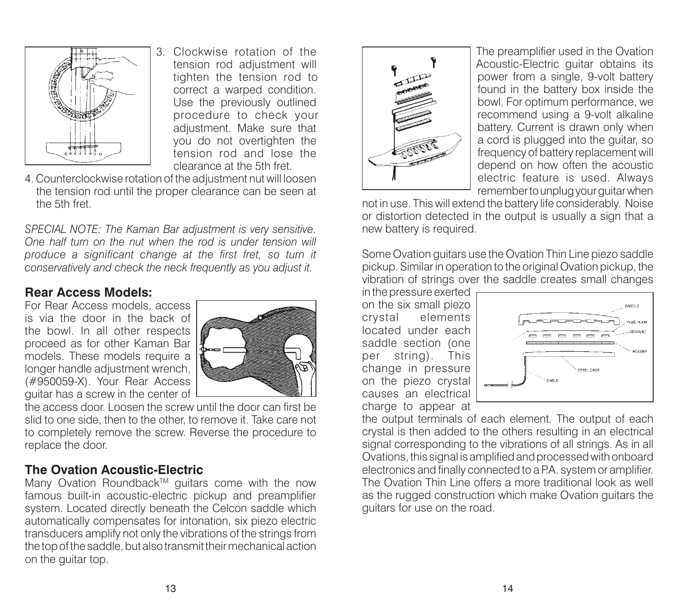

3. Clockwise rotation of the tension rod adjustment will tighten the tension rod to correct a warped condition. Use the previously outlined procedure to check your adjustment. Make sure that you do not overtighten the tension rod and lose the clearance at the 5th fret.

4. Counterclockwise rotation of the adjustment nut will loosen the tension rod until the proper clearance can be seen at the 5th fret.

*SPECIAL NOTE: The Kaman Bar adjustment is very sensitive. One half turn on the nut when the rod is under tension will produce a significant change at the first fret, so turn it con ser va tive ly and check the neck frequently as you adjust it.*

#### **Rear Access Models:**

For Rear Access models, access is via the door in the back of the bowl. In all other respects proceed as for other Kaman Bar models. These models require a longer handle adjustment wrench, (#950059-X). Your Rear Access quitar has a screw in the center of



the access door. Loosen the screw until the door can first be slid to one side, then to the other, to remove it. Take care not to completely remove the screw. Reverse the procedure to replace the door.

#### **The Ovation Acoustic-Electric**

Many Ovation Roundback<sup>™</sup> guitars come with the now famous built-in acoustic-electric pickup and preamplifier system. Located directly beneath the Celcon saddle which automatically compensates for intonation, six piezo electric trans ducers amplify not only the vibrations of the strings from the top of the saddle, but also transmit their mechanical action on the guitar top.



The preamplifier used in the Ovation Acoustic-Electric guitar obtains its power from a single, 9-volt battery found in the battery box inside the bowl. For op timum performance, we recommend using a 9-volt alkaline battery. Current is drawn only when a cord is plugged into the guitar, so frequency of battery replacement will depend on how often the acoustic electric feature is used. Always re mem ber to unplug your guitar when

not in use. This will extend the battery life considerably. Noise or distortion detected in the output is usually a sign that a new battery is required.

Some Ovation guitars use the Ovation Thin Line piezo saddle pickup. Similar in operation to the original Ovation pickup, the vibration of strings over the saddle creates small changes

in the pressure exerted on the six small piezo crystal elements located under each saddle section (one per string). This change in pressure on the piezo crystal causes an electrical charge to appear at



the output terminals of each element. The output of each crystal is then added to the others resulting in an electrical signal corresponding to the vibrations of all strings. As in all Ovations, this signal is amplified and processed with onboard electronics and finally connected to a P.A. system or amplifier. The Ovation Thin Line offers a more traditional look as well as the rugged construction which make Ovation guitars the guitars for use on the road.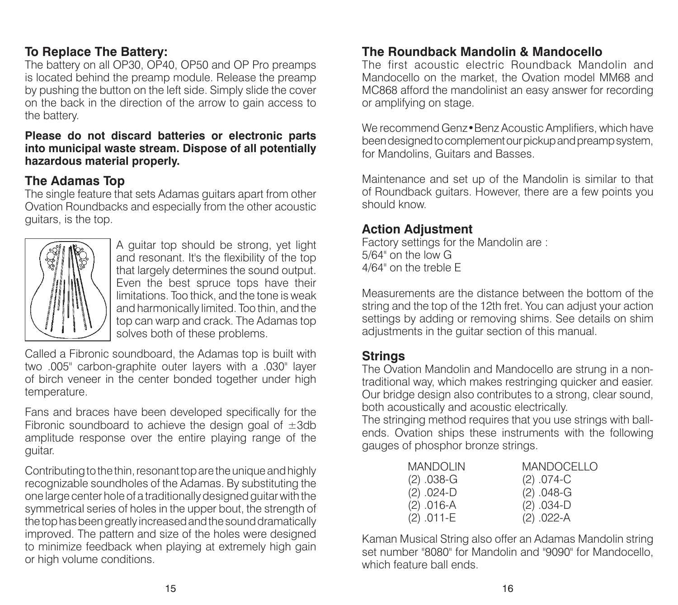### **To Replace The Battery:**

The battery on all OP30, OP40, OP50 and OP Pro preamps is located behind the preamp module. Release the preamp by pushing the button on the left side. Simply slide the cover on the back in the direction of the arrow to gain access to the battery.

#### **Please do not discard batteries or electronic parts into municipal waste stream. Dispose of all potentially hazardous material properly.**

#### **The Adamas Top**

The single feature that sets Adamas guitars apart from other Ovation Roundbacks and especially from the other acoustic guitars, is the top.



A guitar top should be strong, yet light and resonant. It's the flexibility of the top that largely determines the sound output. Even the best spruce tops have their limitations. Too thick, and the tone is weak and harmonically limited. Too thin, and the top can warp and crack. The Adamas top solves both of these problems.

Called a Fibronic soundboard, the Adamas top is built with two .005" carbon-graphite outer layers with a .030" layer of birch veneer in the center bonded together under high temperature.

Fans and braces have been developed specifically for the Fibronic soundboard to achieve the design goal of  $\pm 3$ db amplitude response over the entire playing range of the guitar.

Contributing to the thin, resonant top are the unique and highly recognizable soundholes of the Adamas. By substituting the one large center hole of a traditionally designed guitar with the symmetrical series of holes in the upper bout, the strength of the top has been greatly increased and the sound dramatically improved. The pattern and size of the holes were designed to minimize feedback when playing at extremely high gain or high volume conditions.

#### **The Roundback Mandolin & Mandocello**

The first acoustic electric Roundback Mandolin and Mandocello on the market, the Ovation model MM68 and MC868 afford the mandolinist an easy answer for recording or amplifying on stage.

We recommend Genz•Benz Acoustic Amplifiers, which have been designed to complement our pickup and preamp system, for Mandolins, Guitars and Basses.

Maintenance and set up of the Mandolin is similar to that of Roundback guitars. However, there are a few points you should know.

#### **Action Adjustment**

Factory settings for the Mandolin are : 5/64" on the low G4/64" on the treble E

Measurements are the distance between the bottom of the string and the top of the 12th fret. You can adjust your action settings by adding or removing shims. See details on shim adjustments in the guitar section of this manual.

#### **Strings**

The Ovation Mandolin and Mandocello are strung in a nontraditional way, which makes restringing quicker and easier. Our bridge design also contributes to a strong, clear sound, both acoustically and acoustic electrically.

The stringing method requires that you use strings with ballends. Ovation ships these instruments with the following gauges of phosphor bronze strings.

| MANDOLIN   | <b>MANDOCELLO</b> |
|------------|-------------------|
| (2) .038-G | $(2)$ .074-C      |
| (2) .024-D | $(2)$ .048-G      |
| (2) .016-A | $(2) .034-D$      |
| (2) .011-E | $(2) .022-A$      |

Kaman Musical String also offer an Adamas Mandolin string set number "8080" for Mandolin and "9090" for Mandocello. which feature ball ends.